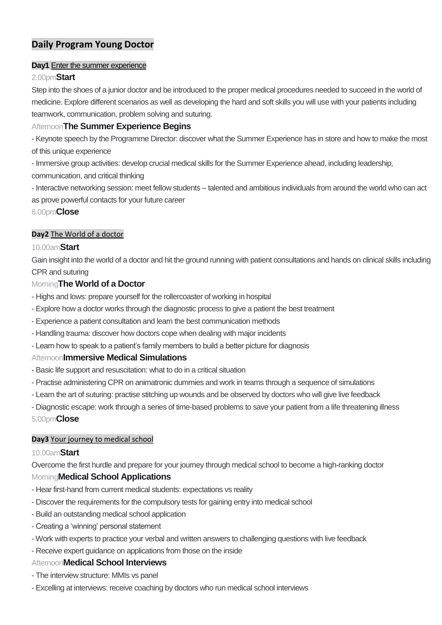# **Daily Program Young Doctor**

#### **Day1** Enter the summer experience

## 2.00pm**Start**

Step into the shoes of a junior doctor and be introduced to the proper medical procedures needed to succeed in the world of medicine. Explore different scenarios as well as developing the hard and soft skills you will use with your patients including teamwork, communication, problem solving and suturing.

# Afternoon**The Summer Experience Begins**

- Keynote speech by the Programme Director: discover what the Summer Experience has in store and how to make the most of this unique experience

- Immersive group activities: develop crucial medical skills for the Summer Experience ahead, including leadership,

communication, and critical thinking

- Interactive networking session: meet fellow students – talented and ambitious individuals from around the world who can act as prove powerful contacts for your future career

6.00pm**Close**

## **Day2** The World of a doctor

# 10.00am**Start**

Gain insight into the world of a doctor and hit the ground running with patient consultations and hands on clinical skills including CPR and suturing

# Morning**The World of a Doctor**

- Highs and lows: prepare yourself for the rollercoaster of working in hospital
- Explore how a doctor works through the diagnostic process to give a patient the best treatment
- Experience a patient consultation and learn the best communication methods
- Handling trauma: discover how doctors cope when dealing with major incidents
- Learn how to speak to a patient's family members to build a better picture for diagnosis

## Afternoon**Immersive Medical Simulations**

- Basic life support and resuscitation: what to do in a critical situation
- Practise administering CPR on animatronic dummies and work in teams through a sequence of simulations
- Learn the art of suturing: practise stitching up wounds and be observed by doctors who will give live feedback

- Diagnostic escape: work through a series of time-based problems to save your patient from a life threatening illness 5.00pm**Close**

## **Day3** Your journey to medical school

## 10.00am**Start**

Overcome the first hurdle and prepare for your journey through medical school to become a high-ranking doctor

## Morning**Medical School Applications**

- Hear first-hand from current medical students: expectations vs reality
- Discover the requirements for the compulsory tests for gaining entry into medical school
- Build an outstanding medical school application
- Creating a 'winning' personal statement
- Work with experts to practice your verbal and written answers to challenging questions with live feedback
- Receive expert guidance on applications from those on the inside

## Afternoon**Medical School Interviews**

- The interview structure: MMIs vs panel
- Excelling at interviews: receive coaching by doctors who run medical school interviews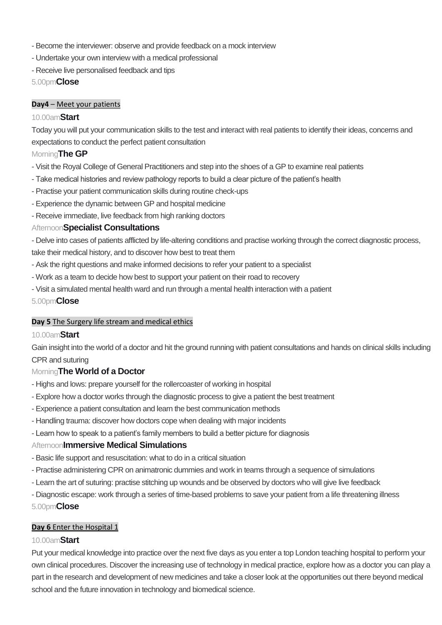- Become the interviewer: observe and provide feedback on a mock interview
- Undertake your own interview with a medical professional
- Receive live personalised feedback and tips

5.00pm**Close**

#### **Day4** – Meet your patients

#### 10.00am**Start**

Today you will put your communication skills to the test and interact with real patients to identify their ideas, concerns and expectations to conduct the perfect patient consultation

## Morning**The GP**

- Visit the Royal College of General Practitioners and step into the shoes of a GP to examine real patients
- Take medical histories and review pathology reports to build a clear picture of the patient's health
- Practise your patient communication skills during routine check-ups
- Experience the dynamic between GP and hospital medicine
- Receive immediate, live feedback from high ranking doctors

#### Afternoon**Specialist Consultations**

- Delve into cases of patients afflicted by life-altering conditions and practise working through the correct diagnostic process, take their medical history, and to discover how best to treat them

- Ask the right questions and make informed decisions to refer your patient to a specialist
- Work as a team to decide how best to support your patient on their road to recovery
- Visit a simulated mental health ward and run through a mental health interaction with a patient

#### 5.00pm**Close**

#### **Day 5** The Surgery life stream and medical ethics

#### 10.00am**Start**

Gain insight into the world of a doctor and hit the ground running with patient consultations and hands on clinical skills including CPR and suturing

## Morning**The World of a Doctor**

- Highs and lows: prepare yourself for the rollercoaster of working in hospital
- Explore how a doctor works through the diagnostic process to give a patient the best treatment
- Experience a patient consultation and learn the best communication methods
- Handling trauma: discover how doctors cope when dealing with major incidents
- Learn how to speak to a patient's family members to build a better picture for diagnosis

## Afternoon**Immersive Medical Simulations**

- Basic life support and resuscitation: what to do in a critical situation
- Practise administering CPR on animatronic dummies and work in teams through a sequence of simulations
- Learn the art of suturing: practise stitching up wounds and be observed by doctors who will give live feedback
- Diagnostic escape: work through a series of time-based problems to save your patient from a life threatening illness 5.00pm**Close**

## **Day 6** Enter the Hospital 1

## 10.00am**Start**

Put your medical knowledge into practice over the next five days as you enter a top London teaching hospital to perform your own clinical procedures. Discover the increasing use of technology in medical practice, explore how as a doctor you can play a part in the research and development of new medicines and take a closer look at the opportunities out there beyond medical school and the future innovation in technology and biomedical science.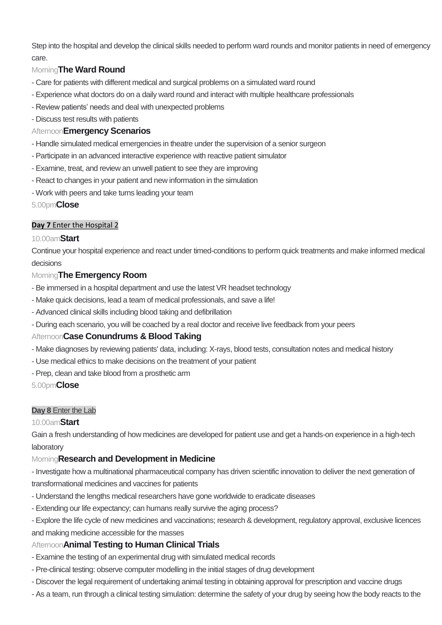Step into the hospital and develop the clinical skills needed to perform ward rounds and monitor patients in need of emergency care.

# Morning**The Ward Round**

- Care for patients with different medical and surgical problems on a simulated ward round
- Experience what doctors do on a daily ward round and interact with multiple healthcare professionals
- Review patients' needs and deal with unexpected problems
- Discuss test results with patients

# Afternoon**Emergency Scenarios**

- Handle simulated medical emergencies in theatre under the supervision of a senior surgeon
- Participate in an advanced interactive experience with reactive patient simulator
- Examine, treat, and review an unwell patient to see they are improving
- React to changes in your patient and new information in the simulation
- Work with peers and take turns leading your team

5.00pm**Close**

# **Day 7** Enter the Hospital 2

# 10.00am**Start**

Continue your hospital experience and react under timed-conditions to perform quick treatments and make informed medical decisions

# Morning**The Emergency Room**

- Be immersed in a hospital department and use the latest VR headset technology
- Make quick decisions, lead a team of medical professionals, and save a life!
- Advanced clinical skills including blood taking and defibrillation
- During each scenario, you will be coached by a real doctor and receive live feedback from your peers

# Afternoon**Case Conundrums & Blood Taking**

- Make diagnoses by reviewing patients' data, including: X-rays, blood tests, consultation notes and medical history
- Use medical ethics to make decisions on the treatment of your patient
- Prep, clean and take blood from a prosthetic arm

5.00pm**Close**

# **Day 8** Enter the Lab

# 10.00am**Start**

Gain a fresh understanding of how medicines are developed for patient use and get a hands-on experience in a high-tech laboratory

# Morning**Research and Development in Medicine**

- Investigate how a multinational pharmaceutical company has driven scientific innovation to deliver the next generation of transformational medicines and vaccines for patients

- Understand the lengths medical researchers have gone worldwide to eradicate diseases
- Extending our life expectancy; can humans really survive the aging process?
- Explore the life cycle of new medicines and vaccinations; research & development, regulatory approval, exclusive licences and making medicine accessible for the masses

# Afternoon**Animal Testing to Human Clinical Trials**

- Examine the testing of an experimental drug with simulated medical records
- Pre-clinical testing: observe computer modelling in the initial stages of drug development
- Discover the legal requirement of undertaking animal testing in obtaining approval for prescription and vaccine drugs
- As a team, run through a clinical testing simulation: determine the safety of your drug by seeing how the body reacts to the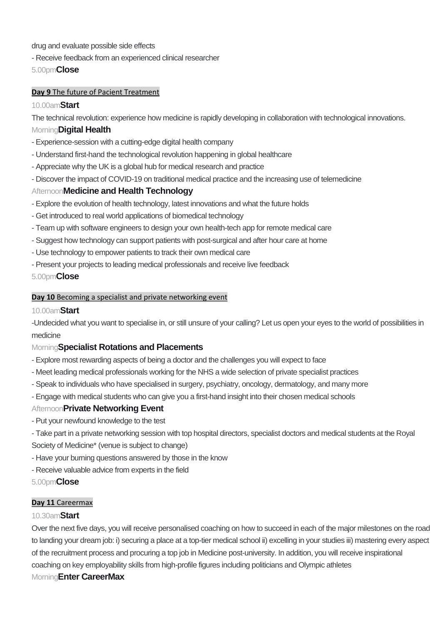drug and evaluate possible side effects

- Receive feedback from an experienced clinical researcher

5.00pm**Close**

## **Day 9** The future of Pacient Treatment

# 10.00am**Start**

The technical revolution: experience how medicine is rapidly developing in collaboration with technological innovations.

## Morning**Digital Health**

- Experience-session with a cutting-edge digital health company
- Understand first-hand the technological revolution happening in global healthcare
- Appreciate why the UK is a global hub for medical research and practice
- Discover the impact of COVID-19 on traditional medical practice and the increasing use of telemedicine

# Afternoon**Medicine and Health Technology**

- Explore the evolution of health technology, latest innovations and what the future holds
- Get introduced to real world applications of biomedical technology
- Team up with software engineers to design your own health-tech app for remote medical care
- Suggest how technology can support patients with post-surgical and after hour care at home
- Use technology to empower patients to track their own medical care
- Present your projects to leading medical professionals and receive live feedback

5.00pm**Close**

#### **Day 10** Becoming a specialist and private networking event

## 10.00am**Start**

-Undecided what you want to specialise in, or still unsure of your calling? Let us open your eyes to the world of possibilities in medicine

# Morning**Specialist Rotations and Placements**

- Explore most rewarding aspects of being a doctor and the challenges you will expect to face
- Meet leading medical professionals working for the NHS a wide selection of private specialist practices
- Speak to individuals who have specialised in surgery, psychiatry, oncology, dermatology, and many more
- Engage with medical students who can give you a first-hand insight into their chosen medical schools

## Afternoon**Private Networking Event**

- Put your newfound knowledge to the test
- Take part in a private networking session with top hospital directors, specialist doctors and medical students at the Royal Society of Medicine\* (venue is subject to change)
- Have your burning questions answered by those in the know
- Receive valuable advice from experts in the field

## 5.00pm**Close**

## **Day 11** Careermax

## 10.30am**Start**

Over the next five days, you will receive personalised coaching on how to succeed in each of the major milestones on the road to landing your dream job: i) securing a place at a top-tier medical school ii) excelling in your studies iii) mastering every aspect of the recruitment process and procuring a top job in Medicine post-university. In addition, you will receive inspirational coaching on key employability skills from high-profile figures including politicians and Olympic athletes Morning**Enter CareerMax**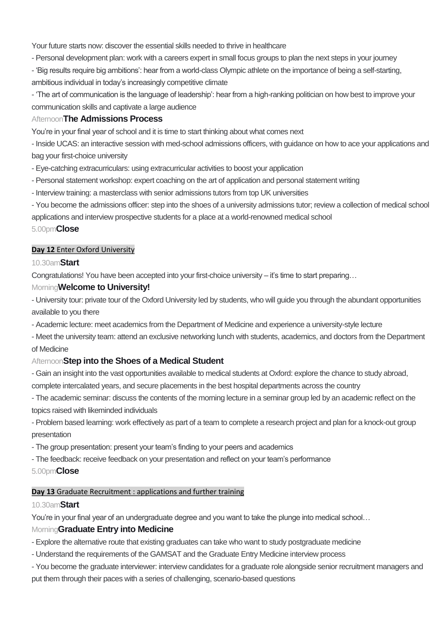Your future starts now: discover the essential skills needed to thrive in healthcare

- Personal development plan: work with a careers expert in small focus groups to plan the next steps in your journey
- 'Big results require big ambitions': hear from a world-class Olympic athlete on the importance of being a self-starting, ambitious individual in today's increasingly competitive climate

- 'The art of communication is the language of leadership': hear from a high-ranking politician on how best to improve your communication skills and captivate a large audience

# Afternoon**The Admissions Process**

You're in your final year of school and it is time to start thinking about what comes next

- Inside UCAS: an interactive session with med-school admissions officers, with guidance on how to ace your applications and bag your first-choice university

- Eye-catching extracurriculars: using extracurricular activities to boost your application
- Personal statement workshop: expert coaching on the art of application and personal statement writing
- Interview training: a masterclass with senior admissions tutors from top UK universities

- You become the admissions officer: step into the shoes of a university admissions tutor; review a collection of medical school applications and interview prospective students for a place at a world-renowned medical school

## 5.00pm**Close**

## **Day 12** Enter Oxford University

#### 10.30am**Start**

Congratulations! You have been accepted into your first-choice university – it's time to start preparing…

## Morning**Welcome to University!**

- University tour: private tour of the Oxford University led by students, who will guide you through the abundant opportunities available to you there

- Academic lecture: meet academics from the Department of Medicine and experience a university-style lecture

- Meet the university team: attend an exclusive networking lunch with students, academics, and doctors from the Department of Medicine

# Afternoon**Step into the Shoes of a Medical Student**

- Gain an insight into the vast opportunities available to medical students at Oxford: explore the chance to study abroad,

complete intercalated years, and secure placements in the best hospital departments across the country

- The academic seminar: discuss the contents of the morning lecture in a seminar group led by an academic reflect on the topics raised with likeminded individuals

- Problem based learning: work effectively as part of a team to complete a research project and plan for a knock-out group presentation

- The group presentation: present your team's finding to your peers and academics
- The feedback: receive feedback on your presentation and reflect on your team's performance

## 5.00pm**Close**

## **Day 13** Graduate Recruitment : applications and further training

## 10.30am**Start**

You're in your final year of an undergraduate degree and you want to take the plunge into medical school…

## Morning**Graduate Entry into Medicine**

- Explore the alternative route that existing graduates can take who want to study postgraduate medicine

- Understand the requirements of the GAMSAT and the Graduate Entry Medicine interview process
- You become the graduate interviewer: interview candidates for a graduate role alongside senior recruitment managers and put them through their paces with a series of challenging, scenario-based questions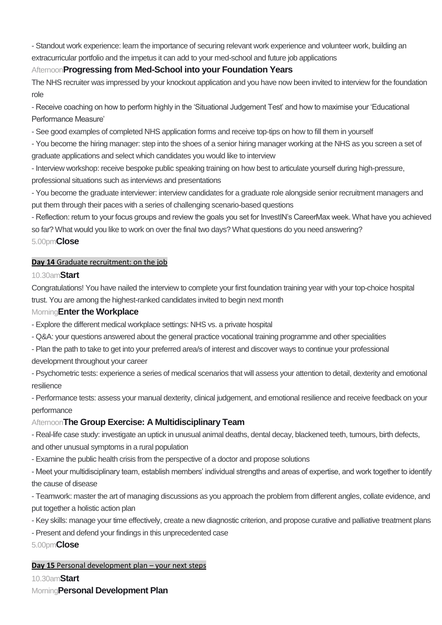- Standout work experience: learn the importance of securing relevant work experience and volunteer work, building an extracurricular portfolio and the impetus it can add to your med-school and future job applications

# Afternoon**Progressing from Med-School into your Foundation Years**

The NHS recruiter was impressed by your knockout application and you have now been invited to interview for the foundation role

- Receive coaching on how to perform highly in the 'Situational Judgement Test' and how to maximise your 'Educational Performance Measure'

- See good examples of completed NHS application forms and receive top-tips on how to fill them in yourself

- You become the hiring manager: step into the shoes of a senior hiring manager working at the NHS as you screen a set of graduate applications and select which candidates you would like to interview

- Interview workshop: receive bespoke public speaking training on how best to articulate yourself during high-pressure, professional situations such as interviews and presentations
- You become the graduate interviewer: interview candidates for a graduate role alongside senior recruitment managers and put them through their paces with a series of challenging scenario-based questions

- Reflection: return to your focus groups and review the goals you set for InvestIN's CareerMax week. What have you achieved so far? What would you like to work on over the final two days? What questions do you need answering?

# 5.00pm**Close**

# **Day 14** Graduate recruitment: on the job

# 10.30am**Start**

Congratulations! You have nailed the interview to complete your first foundation training year with your top-choice hospital trust. You are among the highest-ranked candidates invited to begin next month

# Morning**Enter the Workplace**

- Explore the different medical workplace settings: NHS vs. a private hospital
- Q&A: your questions answered about the general practice vocational training programme and other specialities
- Plan the path to take to get into your preferred area/s of interest and discover ways to continue your professional development throughout your career
- Psychometric tests: experience a series of medical scenarios that will assess your attention to detail, dexterity and emotional resilience

- Performance tests: assess your manual dexterity, clinical judgement, and emotional resilience and receive feedback on your performance

# Afternoon**The Group Exercise: A Multidisciplinary Team**

- Real-life case study: investigate an uptick in unusual animal deaths, dental decay, blackened teeth, tumours, birth defects, and other unusual symptoms in a rural population

- Examine the public health crisis from the perspective of a doctor and propose solutions

- Meet your multidisciplinary team, establish members' individual strengths and areas of expertise, and work together to identify the cause of disease

- Teamwork: master the art of managing discussions as you approach the problem from different angles, collate evidence, and put together a holistic action plan

- Key skills: manage your time effectively, create a new diagnostic criterion, and propose curative and palliative treatment plans
- Present and defend your findings in this unprecedented case

5.00pm**Close**

# **Day 15** Personal development plan – your next steps

10.30am**Start**

Morning**Personal Development Plan**